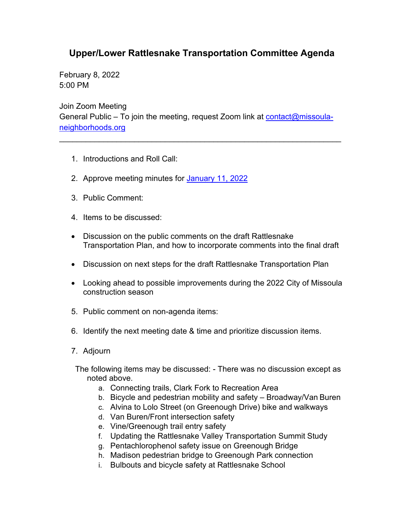## **Upper/Lower Rattlesnake Transportation Committee Agenda**

February 8, 2022 5:00 PM

Join Zoom Meeting General Public – To join the meeting, request Zoom link at [contact@missoula](mailto:contact@missoula-neighborhoods.org)[neighborhoods.org](mailto:contact@missoula-neighborhoods.org)

\_\_\_\_\_\_\_\_\_\_\_\_\_\_\_\_\_\_\_\_\_\_\_\_\_\_\_\_\_\_\_\_\_\_\_\_\_\_\_\_\_\_\_\_\_\_\_\_\_\_\_\_\_\_\_\_\_\_\_\_\_\_\_\_

- 1. Introductions and Roll Call:
- 2. Approve meeting minutes for [January 11, 2022](https://www.ci.missoula.mt.us/Archive.aspx?ADID=16528)
- 3. Public Comment:
- 4. Items to be discussed:
- Discussion on the public comments on the draft Rattlesnake Transportation Plan, and how to incorporate comments into the final draft
- Discussion on next steps for the draft Rattlesnake Transportation Plan
- Looking ahead to possible improvements during the 2022 City of Missoula construction season
- 5. Public comment on non-agenda items:
- 6. Identify the next meeting date & time and prioritize discussion items.
- 7. Adjourn

The following items may be discussed: - There was no discussion except as noted above.

- a. Connecting trails, Clark Fork to Recreation Area
- b. Bicycle and pedestrian mobility and safety Broadway/Van Buren
- c. Alvina to Lolo Street (on Greenough Drive) bike and walkways
- d. Van Buren/Front intersection safety
- e. Vine/Greenough trail entry safety
- f. Updating the Rattlesnake Valley Transportation Summit Study
- g. Pentachlorophenol safety issue on Greenough Bridge
- h. Madison pedestrian bridge to Greenough Park connection
- i. Bulbouts and bicycle safety at Rattlesnake School